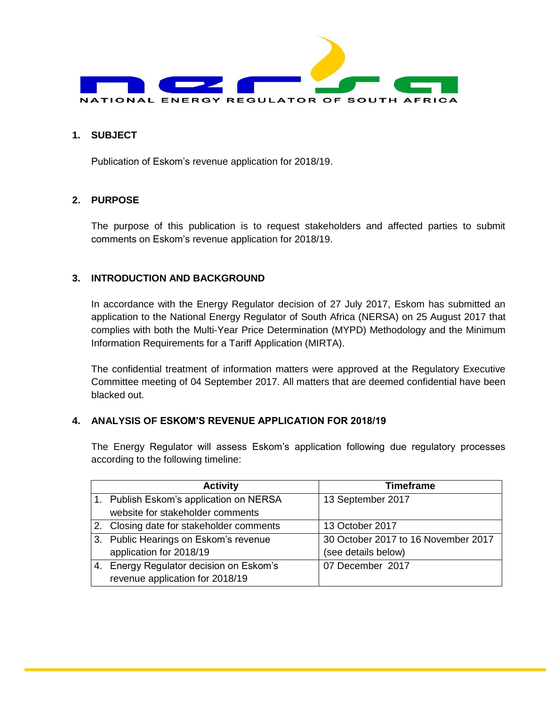

## **1. SUBJECT**

Publication of Eskom's revenue application for 2018/19.

# **2. PURPOSE**

The purpose of this publication is to request stakeholders and affected parties to submit comments on Eskom's revenue application for 2018/19.

### **3. INTRODUCTION AND BACKGROUND**

In accordance with the Energy Regulator decision of 27 July 2017, Eskom has submitted an application to the National Energy Regulator of South Africa (NERSA) on 25 August 2017 that complies with both the Multi-Year Price Determination (MYPD) Methodology and the Minimum Information Requirements for a Tariff Application (MIRTA).

The confidential treatment of information matters were approved at the Regulatory Executive Committee meeting of 04 September 2017. All matters that are deemed confidential have been blacked out.

### **4. ANALYSIS OF ESKOM'S REVENUE APPLICATION FOR 2018/19**

The Energy Regulator will assess Eskom's application following due regulatory processes according to the following timeline:

| <b>Activity</b>                          | <b>Timeframe</b>                    |
|------------------------------------------|-------------------------------------|
| 1. Publish Eskom's application on NERSA  | 13 September 2017                   |
| website for stakeholder comments         |                                     |
| 2. Closing date for stakeholder comments | 13 October 2017                     |
| 3. Public Hearings on Eskom's revenue    | 30 October 2017 to 16 November 2017 |
| application for 2018/19                  | (see details below)                 |
| 4. Energy Regulator decision on Eskom's  | 07 December 2017                    |
| revenue application for 2018/19          |                                     |